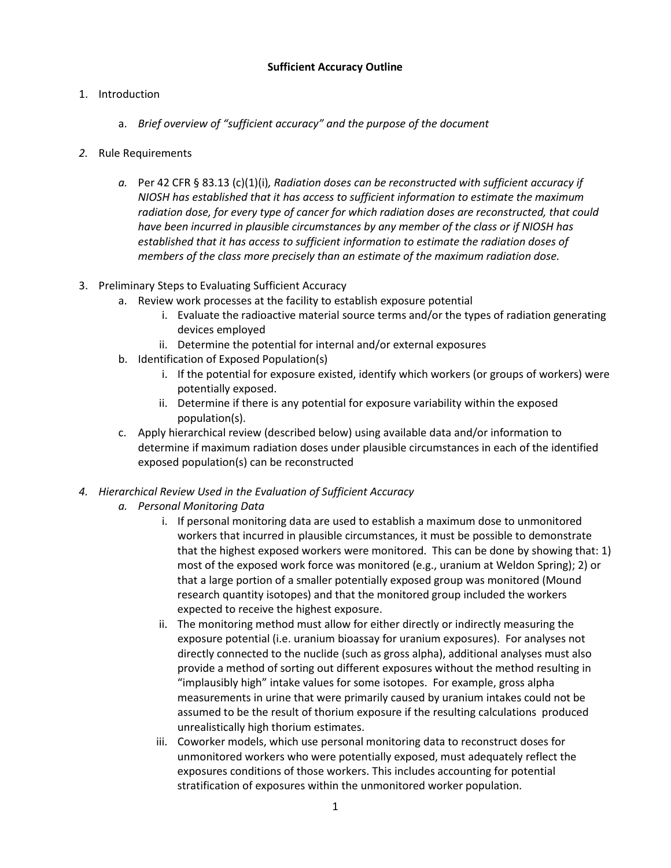## **Sufficient Accuracy Outline**

## 1. Introduction

- a. *Brief overview of "sufficient accuracy" and the purpose of the document*
- *2.* Rule Requirements
	- *a.* Per 42 CFR § 83.13 (c)(1)(i)*, Radiation doses can be reconstructed with sufficient accuracy if NIOSH has established that it has access to sufficient information to estimate the maximum radiation dose, for every type of cancer for which radiation doses are reconstructed, that could have been incurred in plausible circumstances by any member of the class or if NIOSH has established that it has access to sufficient information to estimate the radiation doses of members of the class more precisely than an estimate of the maximum radiation dose.*
- 3. Preliminary Steps to Evaluating Sufficient Accuracy
	- a. Review work processes at the facility to establish exposure potential
		- i. Evaluate the radioactive material source terms and/or the types of radiation generating devices employed
		- ii. Determine the potential for internal and/or external exposures
	- b. Identification of Exposed Population(s)
		- i. If the potential for exposure existed, identify which workers (or groups of workers) were potentially exposed.
		- ii. Determine if there is any potential for exposure variability within the exposed population(s).
	- c. Apply hierarchical review (described below) using available data and/or information to determine if maximum radiation doses under plausible circumstances in each of the identified exposed population(s) can be reconstructed
- *4. Hierarchical Review Used in the Evaluation of Sufficient Accuracy*
	- *a. Personal Monitoring Data*
		- i. If personal monitoring data are used to establish a maximum dose to unmonitored workers that incurred in plausible circumstances, it must be possible to demonstrate that the highest exposed workers were monitored. This can be done by showing that: 1) most of the exposed work force was monitored (e.g., uranium at Weldon Spring); 2) or that a large portion of a smaller potentially exposed group was monitored (Mound research quantity isotopes) and that the monitored group included the workers expected to receive the highest exposure.
		- ii. The monitoring method must allow for either directly or indirectly measuring the exposure potential (i.e. uranium bioassay for uranium exposures). For analyses not directly connected to the nuclide (such as gross alpha), additional analyses must also provide a method of sorting out different exposures without the method resulting in "implausibly high" intake values for some isotopes. For example, gross alpha measurements in urine that were primarily caused by uranium intakes could not be assumed to be the result of thorium exposure if the resulting calculations produced unrealistically high thorium estimates.
		- iii. Coworker models, which use personal monitoring data to reconstruct doses for unmonitored workers who were potentially exposed, must adequately reflect the exposures conditions of those workers. This includes accounting for potential stratification of exposures within the unmonitored worker population.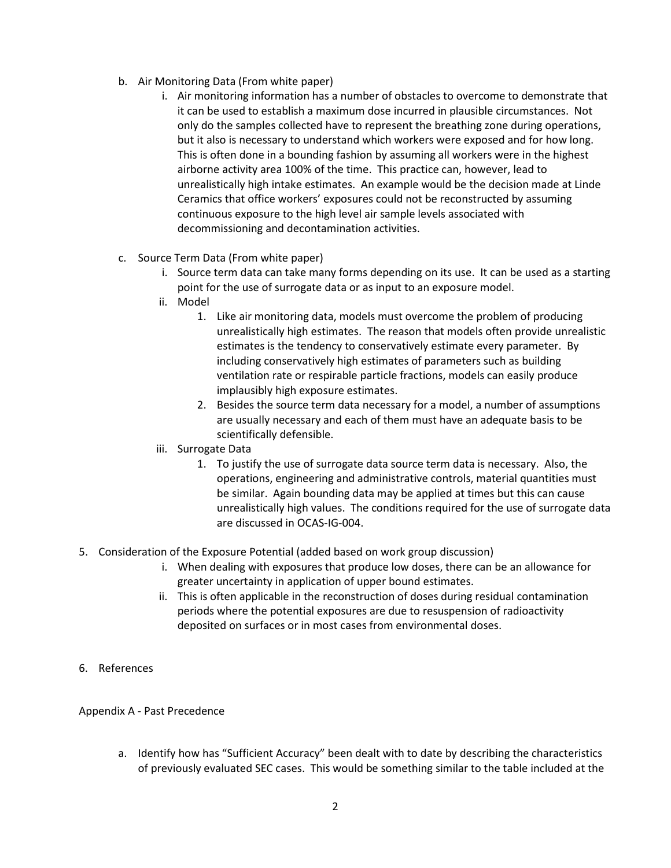- b. Air Monitoring Data (From white paper)
	- i. Air monitoring information has a number of obstacles to overcome to demonstrate that it can be used to establish a maximum dose incurred in plausible circumstances. Not only do the samples collected have to represent the breathing zone during operations, but it also is necessary to understand which workers were exposed and for how long. This is often done in a bounding fashion by assuming all workers were in the highest airborne activity area 100% of the time. This practice can, however, lead to unrealistically high intake estimates. An example would be the decision made at Linde Ceramics that office workers' exposures could not be reconstructed by assuming continuous exposure to the high level air sample levels associated with decommissioning and decontamination activities.
- c. Source Term Data (From white paper)
	- i. Source term data can take many forms depending on its use. It can be used as a starting point for the use of surrogate data or as input to an exposure model.
	- ii. Model
		- 1. Like air monitoring data, models must overcome the problem of producing unrealistically high estimates. The reason that models often provide unrealistic estimates is the tendency to conservatively estimate every parameter. By including conservatively high estimates of parameters such as building ventilation rate or respirable particle fractions, models can easily produce implausibly high exposure estimates.
		- 2. Besides the source term data necessary for a model, a number of assumptions are usually necessary and each of them must have an adequate basis to be scientifically defensible.
	- iii. Surrogate Data
		- 1. To justify the use of surrogate data source term data is necessary. Also, the operations, engineering and administrative controls, material quantities must be similar. Again bounding data may be applied at times but this can cause unrealistically high values. The conditions required for the use of surrogate data are discussed in OCAS-IG-004.
- 5. Consideration of the Exposure Potential (added based on work group discussion)
	- i. When dealing with exposures that produce low doses, there can be an allowance for greater uncertainty in application of upper bound estimates.
	- ii. This is often applicable in the reconstruction of doses during residual contamination periods where the potential exposures are due to resuspension of radioactivity deposited on surfaces or in most cases from environmental doses.
- 6. References

## Appendix A - Past Precedence

a. Identify how has "Sufficient Accuracy" been dealt with to date by describing the characteristics of previously evaluated SEC cases. This would be something similar to the table included at the